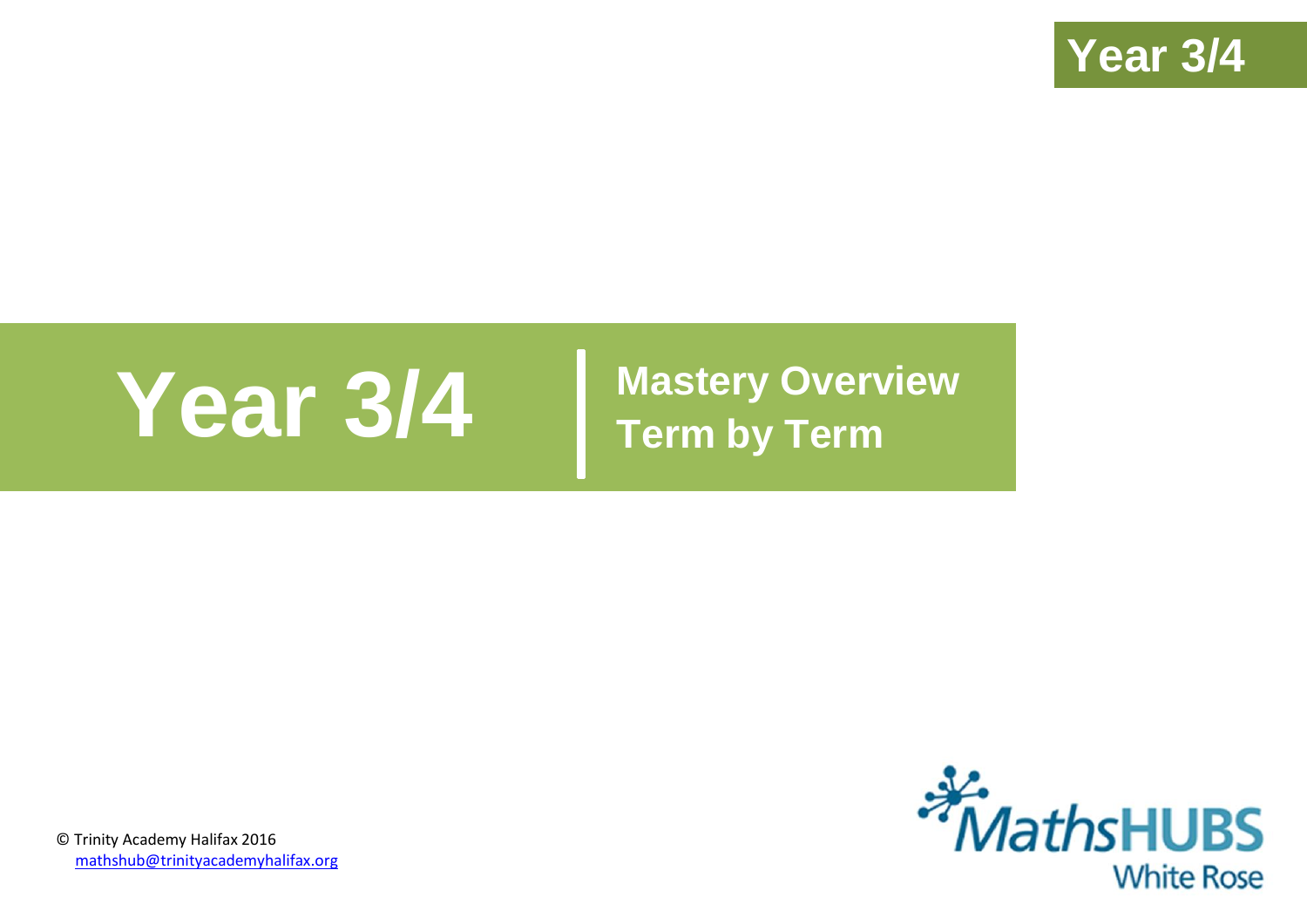

# **Year 3/4 Mastery Overview**

**Term by Term**



© Trinity Academy Halifax 2016 [mathshub@trinityacademyhalifax.org](mailto:mathshub@trinityacademyhalifax.org)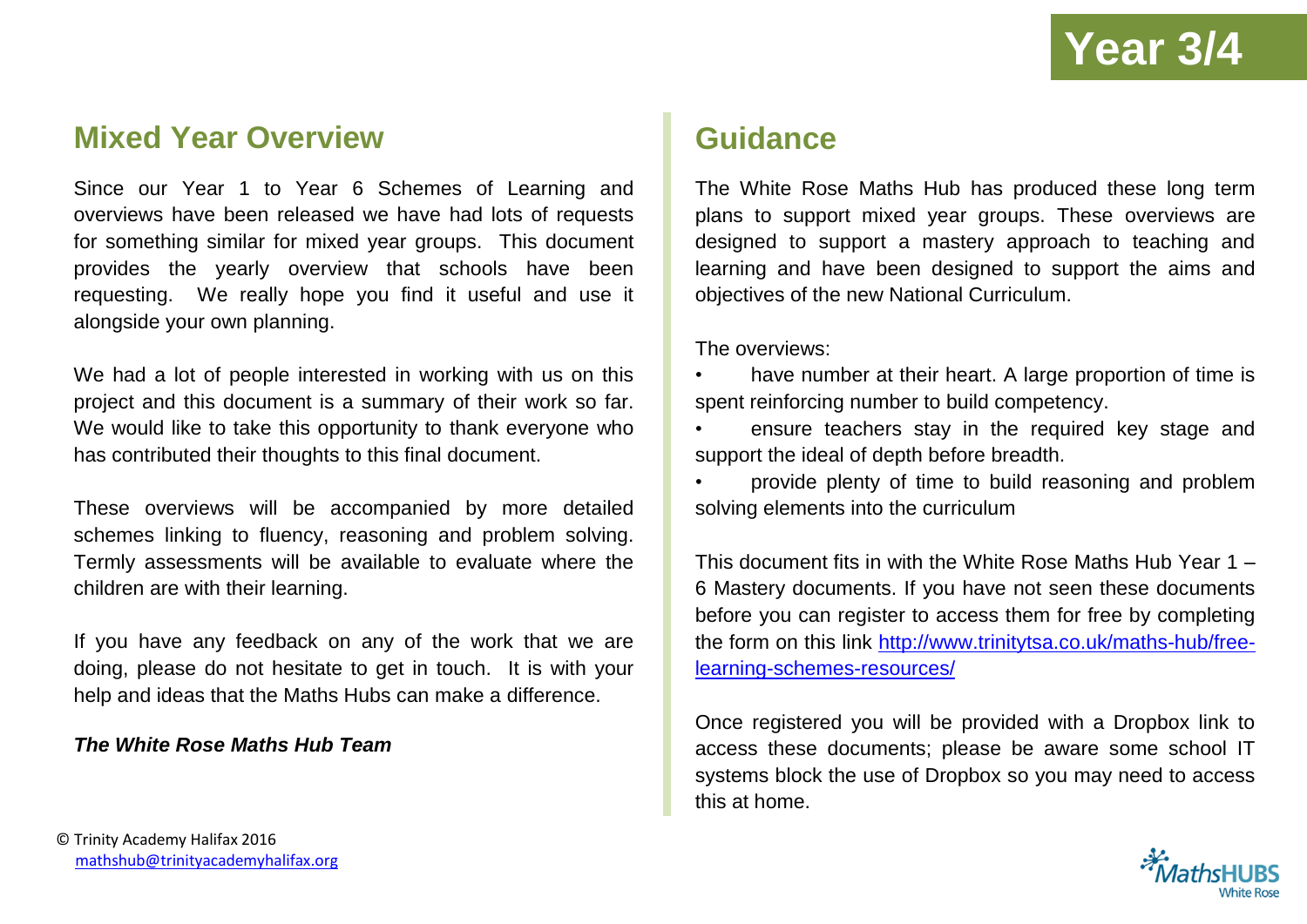### **Mixed Year Overview**

Since our Year 1 to Year 6 Schemes of Learning and overviews have been released we have had lots of requests for something similar for mixed year groups. This document provides the yearly overview that schools have been requesting. We really hope you find it useful and use it alongside your own planning.

We had a lot of people interested in working with us on this project and this document is a summary of their work so far. We would like to take this opportunity to thank everyone who has contributed their thoughts to this final document.

These overviews will be accompanied by more detailed schemes linking to fluency, reasoning and problem solving. Termly assessments will be available to evaluate where the children are with their learning.

If you have any feedback on any of the work that we are doing, please do not hesitate to get in touch. It is with your help and ideas that the Maths Hubs can make a difference.

#### *The White Rose Maths Hub Team*

## **Guidance**

The White Rose Maths Hub has produced these long term plans to support mixed year groups. These overviews are designed to support a mastery approach to teaching and learning and have been designed to support the aims and objectives of the new National Curriculum.

The overviews:

- have number at their heart. A large proportion of time is spent reinforcing number to build competency.
- ensure teachers stay in the required key stage and support the ideal of depth before breadth.
- provide plenty of time to build reasoning and problem solving elements into the curriculum

This document fits in with the White Rose Maths Hub Year 1 – 6 Mastery documents. If you have not seen these documents before you can register to access them for free by completing the form on this link [http://www.trinitytsa.co.uk/maths-hub/free](http://www.trinitytsa.co.uk/maths-hub/free-learning-schemes-resources/)[learning-schemes-resources/](http://www.trinitytsa.co.uk/maths-hub/free-learning-schemes-resources/)

Once registered you will be provided with a Dropbox link to access these documents; please be aware some school IT systems block the use of Dropbox so you may need to access this at home.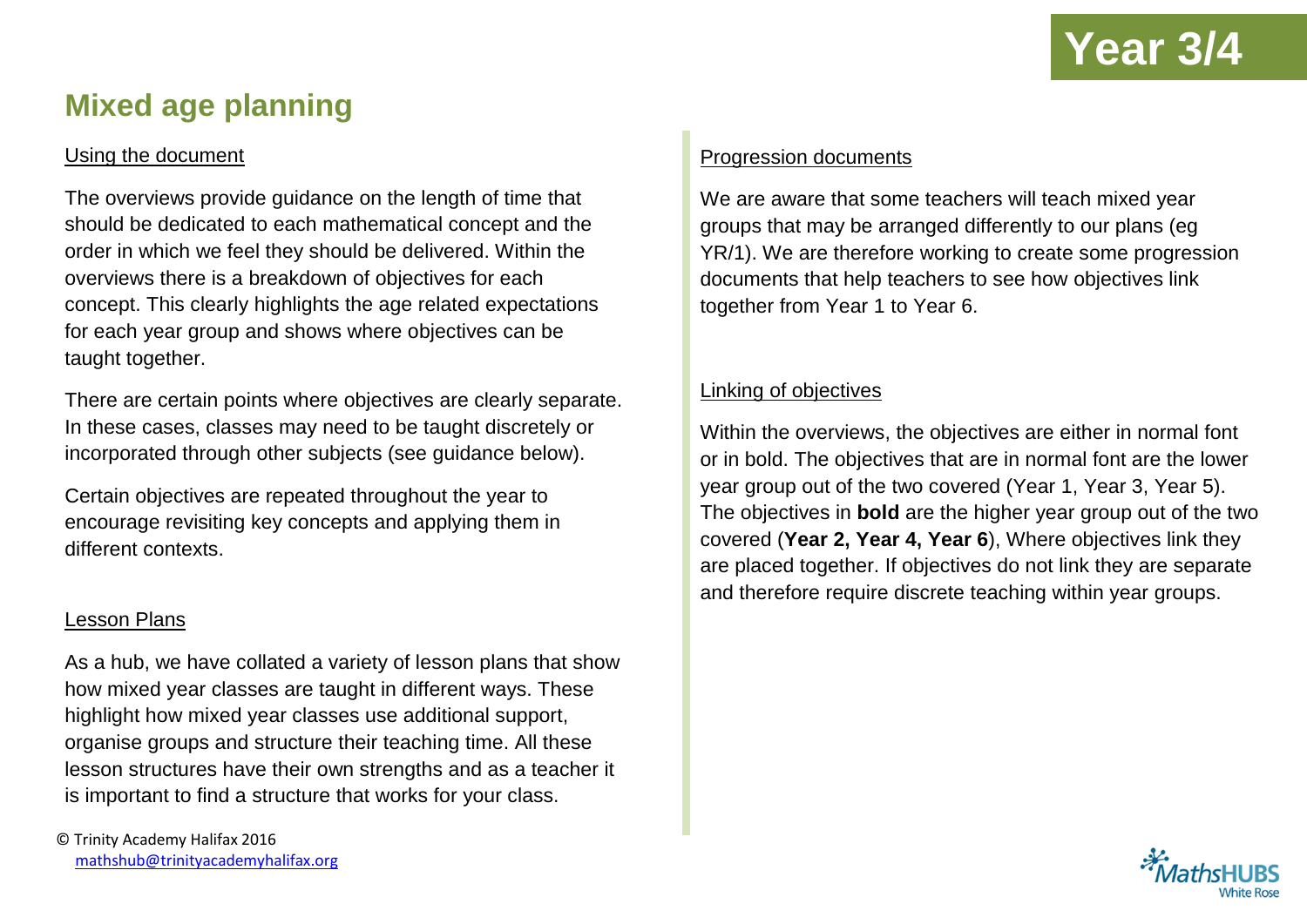## **Mixed age planning**

#### Using the document

The overviews provide guidance on the length of time that should be dedicated to each mathematical concept and the order in which we feel they should be delivered. Within the overviews there is a breakdown of objectives for each concept. This clearly highlights the age related expectations for each year group and shows where objectives can be taught together.

There are certain points where objectives are clearly separate. In these cases, classes may need to be taught discretely or incorporated through other subjects (see guidance below).

Certain objectives are repeated throughout the year to encourage revisiting key concepts and applying them in different contexts.

#### Lesson Plans

As a hub, we have collated a variety of lesson plans that show how mixed year classes are taught in different ways. These highlight how mixed year classes use additional support, organise groups and structure their teaching time. All these lesson structures have their own strengths and as a teacher it is important to find a structure that works for your class.

#### Progression documents

We are aware that some teachers will teach mixed year groups that may be arranged differently to our plans (eg YR/1). We are therefore working to create some progression documents that help teachers to see how objectives link together from Year 1 to Year 6.

#### Linking of objectives

Within the overviews, the objectives are either in normal font or in bold. The objectives that are in normal font are the lower year group out of the two covered (Year 1, Year 3, Year 5). The objectives in **bold** are the higher year group out of the two covered (**Year 2, Year 4, Year 6**), Where objectives link they are placed together. If objectives do not link they are separate and therefore require discrete teaching within year groups.

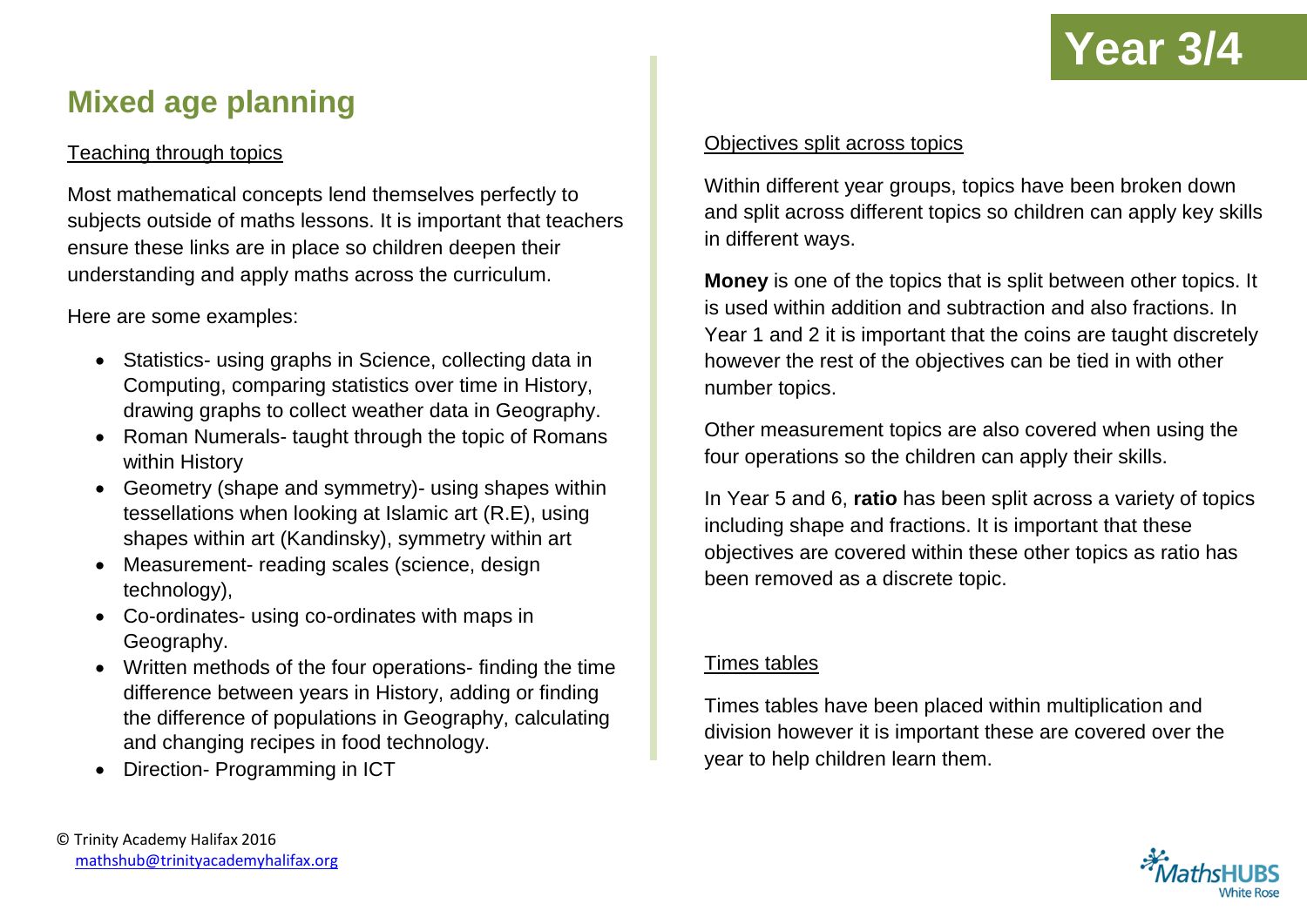

## **Mixed age planning**

#### Teaching through topics

Most mathematical concepts lend themselves perfectly to subjects outside of maths lessons. It is important that teachers ensure these links are in place so children deepen their understanding and apply maths across the curriculum.

Here are some examples:

- Statistics- using graphs in Science, collecting data in Computing, comparing statistics over time in History, drawing graphs to collect weather data in Geography.
- Roman Numerals- taught through the topic of Romans within History
- Geometry (shape and symmetry) using shapes within tessellations when looking at Islamic art (R.E), using shapes within art (Kandinsky), symmetry within art
- Measurement- reading scales (science, design technology),
- Co-ordinates- using co-ordinates with maps in Geography.
- Written methods of the four operations- finding the time difference between years in History, adding or finding the difference of populations in Geography, calculating and changing recipes in food technology.
- Direction- Programming in ICT

#### Objectives split across topics

Within different year groups, topics have been broken down and split across different topics so children can apply key skills in different ways.

**Money** is one of the topics that is split between other topics. It is used within addition and subtraction and also fractions. In Year 1 and 2 it is important that the coins are taught discretely however the rest of the objectives can be tied in with other number topics.

Other measurement topics are also covered when using the four operations so the children can apply their skills.

In Year 5 and 6, **ratio** has been split across a variety of topics including shape and fractions. It is important that these objectives are covered within these other topics as ratio has been removed as a discrete topic.

#### Times tables

Times tables have been placed within multiplication and division however it is important these are covered over the year to help children learn them.

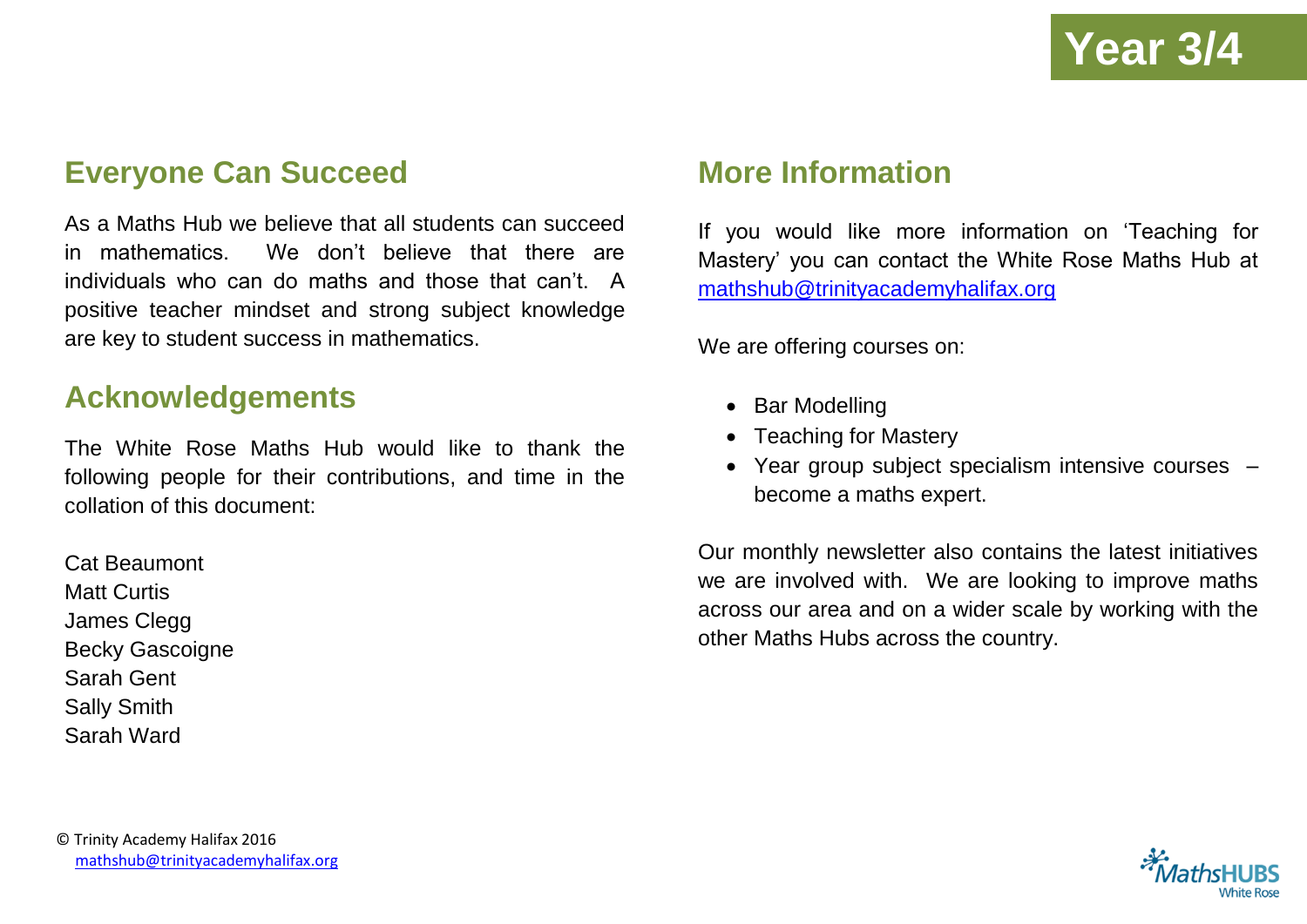## **Everyone Can Succeed**

As a Maths Hub we believe that all students can succeed in mathematics. We don't believe that there are individuals who can do maths and those that can't. A positive teacher mindset and strong subject knowledge are key to student success in mathematics.

### **Acknowledgements**

The White Rose Maths Hub would like to thank the following people for their contributions, and time in the collation of this document:

Cat Beaumont Matt Curtis James Clegg Becky Gascoigne Sarah Gent Sally Smith Sarah Ward

## **More Information**

If you would like more information on 'Teaching for Mastery' you can contact the White Rose Maths Hub at [mathshub@trinityacademyhalifax.org](mailto:mathshub@trinityacademyhalifax.org)

We are offering courses on:

- Bar Modelling
- Teaching for Mastery
- Year group subject specialism intensive courses become a maths expert.

Our monthly newsletter also contains the latest initiatives we are involved with. We are looking to improve maths across our area and on a wider scale by working with the other Maths Hubs across the country.

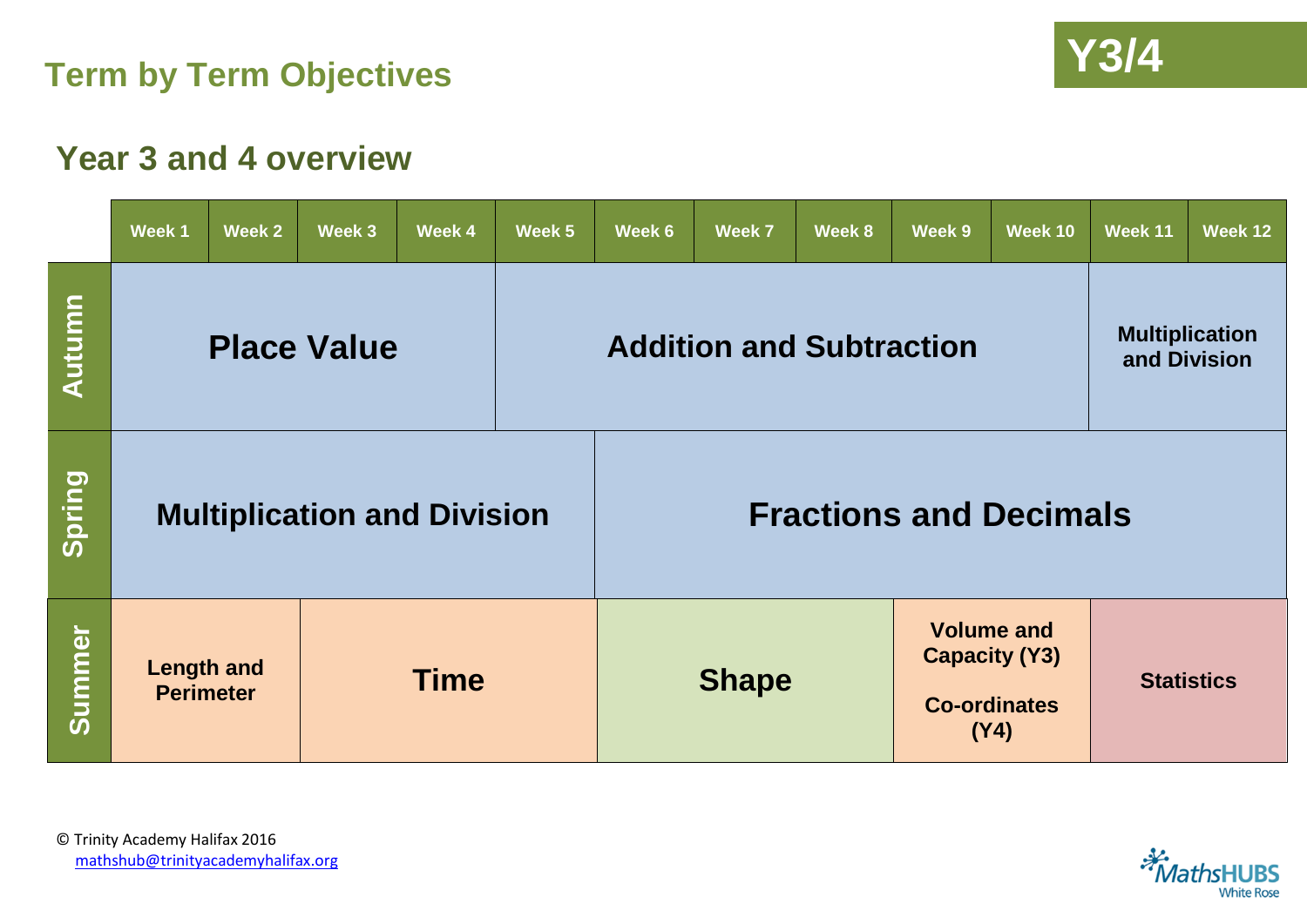



## **Year 3 and 4 overview**

|        | Week 1                                               | Week 2 | Week 3                             | Week 4 | Week 5                                                                                   | Week 6                        | Week 7                          | Week 8                                | Week 9 | Week 10           | Week 11 | Week 12 |  |
|--------|------------------------------------------------------|--------|------------------------------------|--------|------------------------------------------------------------------------------------------|-------------------------------|---------------------------------|---------------------------------------|--------|-------------------|---------|---------|--|
| Autumn | <b>Place Value</b>                                   |        |                                    |        |                                                                                          |                               | <b>Addition and Subtraction</b> | <b>Multiplication</b><br>and Division |        |                   |         |         |  |
| Spring |                                                      |        | <b>Multiplication and Division</b> |        |                                                                                          | <b>Fractions and Decimals</b> |                                 |                                       |        |                   |         |         |  |
| Summer | <b>Length and</b><br><b>Time</b><br><b>Perimeter</b> |        |                                    |        | <b>Volume and</b><br><b>Capacity (Y3)</b><br><b>Shape</b><br><b>Co-ordinates</b><br>(Y4) |                               |                                 |                                       |        | <b>Statistics</b> |         |         |  |

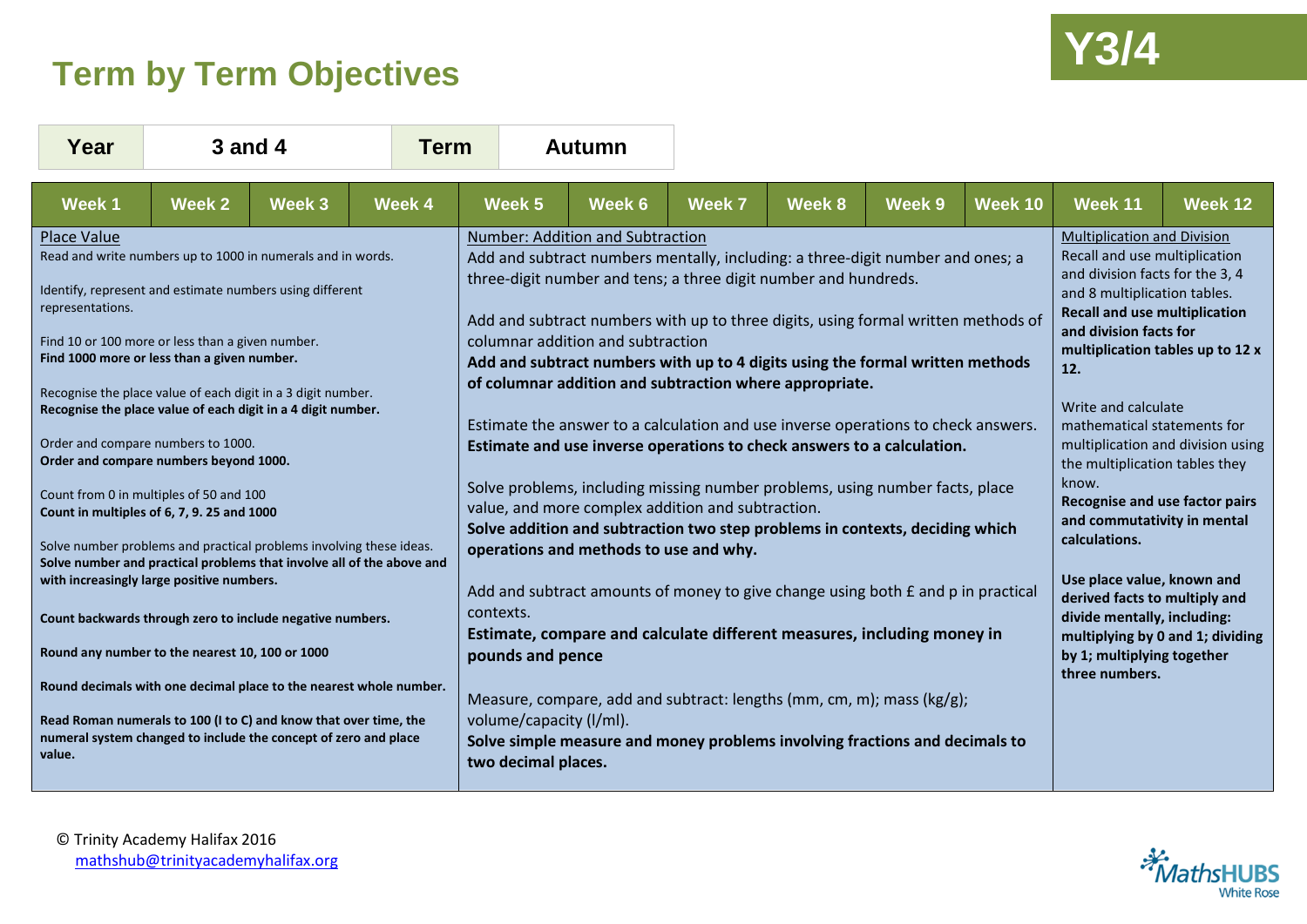## **Y3/4 Term by Term Objectives**



| Year                                                                                                                                                                                                                                                                                                                                                                                                                                                                                                                                                                          | <b>3 and 4</b> |        | <b>Term</b> | <b>Autumn</b>                                                                                                                                                                                                                                                                                                                                                                                                                                                                                                                                                                                                                                                                                                                                                                                                                                   |        |                                                                                                                                                                                                                                                                                                                                                                                                                                                            |        |        |                |                                                                                                                                                                                                 |         |  |
|-------------------------------------------------------------------------------------------------------------------------------------------------------------------------------------------------------------------------------------------------------------------------------------------------------------------------------------------------------------------------------------------------------------------------------------------------------------------------------------------------------------------------------------------------------------------------------|----------------|--------|-------------|-------------------------------------------------------------------------------------------------------------------------------------------------------------------------------------------------------------------------------------------------------------------------------------------------------------------------------------------------------------------------------------------------------------------------------------------------------------------------------------------------------------------------------------------------------------------------------------------------------------------------------------------------------------------------------------------------------------------------------------------------------------------------------------------------------------------------------------------------|--------|------------------------------------------------------------------------------------------------------------------------------------------------------------------------------------------------------------------------------------------------------------------------------------------------------------------------------------------------------------------------------------------------------------------------------------------------------------|--------|--------|----------------|-------------------------------------------------------------------------------------------------------------------------------------------------------------------------------------------------|---------|--|
| <b>Week1</b>                                                                                                                                                                                                                                                                                                                                                                                                                                                                                                                                                                  | Week 2         | Week 3 | Week 4      | Week 5                                                                                                                                                                                                                                                                                                                                                                                                                                                                                                                                                                                                                                                                                                                                                                                                                                          | Week 6 | <b>Week 7</b>                                                                                                                                                                                                                                                                                                                                                                                                                                              | Week 8 | Week 9 | <b>Week 10</b> | Week 11                                                                                                                                                                                         | Week 12 |  |
| <b>Place Value</b><br>Read and write numbers up to 1000 in numerals and in words.<br>Identify, represent and estimate numbers using different<br>representations.<br>Find 10 or 100 more or less than a given number.<br>Find 1000 more or less than a given number.<br>Recognise the place value of each digit in a 3 digit number.<br>Recognise the place value of each digit in a 4 digit number.<br>Order and compare numbers to 1000.<br>Order and compare numbers beyond 1000.<br>Count from 0 in multiples of 50 and 100<br>Count in multiples of 6, 7, 9. 25 and 1000 |                |        |             | Number: Addition and Subtraction<br>Add and subtract numbers mentally, including: a three-digit number and ones; a<br>three-digit number and tens; a three digit number and hundreds.<br>Add and subtract numbers with up to three digits, using formal written methods of<br>columnar addition and subtraction<br>Add and subtract numbers with up to 4 digits using the formal written methods<br>of columnar addition and subtraction where appropriate.<br>Estimate the answer to a calculation and use inverse operations to check answers.<br>Estimate and use inverse operations to check answers to a calculation.<br>Solve problems, including missing number problems, using number facts, place<br>value, and more complex addition and subtraction.<br>Solve addition and subtraction two step problems in contexts, deciding which |        | <b>Multiplication and Division</b><br>Recall and use multiplication<br>and division facts for the 3, 4<br>and 8 multiplication tables.<br><b>Recall and use multiplication</b><br>and division facts for<br>multiplication tables up to 12 x<br>12.<br>Write and calculate<br>mathematical statements for<br>multiplication and division using<br>the multiplication tables they<br>know.<br>Recognise and use factor pairs<br>and commutativity in mental |        |        |                |                                                                                                                                                                                                 |         |  |
| Solve number problems and practical problems involving these ideas.<br>Solve number and practical problems that involve all of the above and<br>with increasingly large positive numbers.<br>Count backwards through zero to include negative numbers.<br>Round any number to the nearest 10, 100 or 1000                                                                                                                                                                                                                                                                     |                |        |             | operations and methods to use and why.<br>Add and subtract amounts of money to give change using both $E$ and $p$ in practical<br>contexts.<br>Estimate, compare and calculate different measures, including money in<br>pounds and pence                                                                                                                                                                                                                                                                                                                                                                                                                                                                                                                                                                                                       |        |                                                                                                                                                                                                                                                                                                                                                                                                                                                            |        |        |                | calculations.<br>Use place value, known and<br>derived facts to multiply and<br>divide mentally, including:<br>multiplying by 0 and 1; dividing<br>by 1; multiplying together<br>three numbers. |         |  |
| Round decimals with one decimal place to the nearest whole number.<br>Read Roman numerals to 100 (I to C) and know that over time, the<br>numeral system changed to include the concept of zero and place<br>value.                                                                                                                                                                                                                                                                                                                                                           |                |        |             | Measure, compare, add and subtract: lengths (mm, cm, m); mass (kg/g);<br>volume/capacity (I/ml).<br>Solve simple measure and money problems involving fractions and decimals to<br>two decimal places.                                                                                                                                                                                                                                                                                                                                                                                                                                                                                                                                                                                                                                          |        |                                                                                                                                                                                                                                                                                                                                                                                                                                                            |        |        |                |                                                                                                                                                                                                 |         |  |

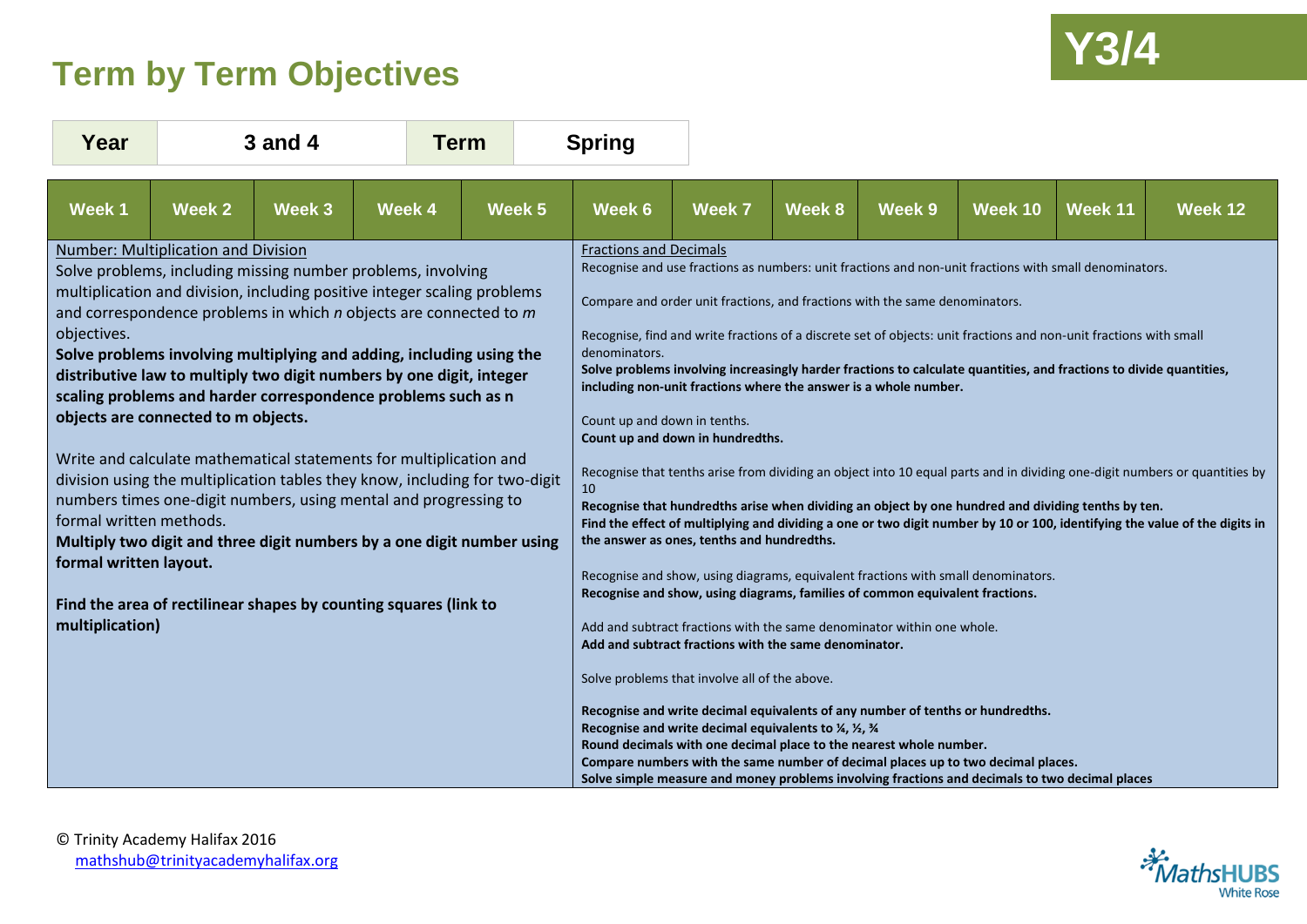## **Y3/4 Term by Term Objectives**



| Year                                                                                                                                                                     |        | <b>3 and 4</b> |                                                                                                                                                                                                                                                                                                                                                                                                                                                                                                                                                                                                                                                                                                                                                                                                           | <b>Term</b> |  | <b>Spring</b>                                                                        |                                                                                                                                                                                                                                                                                                                                                                                                                                                                                                                                                                                                                                         |        |                   |                                                                                                                                                                                                                                                                                                                                                                                                                                                                                                                                                                                                                                                                                                                                                                                                                        |         |                                                                                                                                                                                                                                                          |
|--------------------------------------------------------------------------------------------------------------------------------------------------------------------------|--------|----------------|-----------------------------------------------------------------------------------------------------------------------------------------------------------------------------------------------------------------------------------------------------------------------------------------------------------------------------------------------------------------------------------------------------------------------------------------------------------------------------------------------------------------------------------------------------------------------------------------------------------------------------------------------------------------------------------------------------------------------------------------------------------------------------------------------------------|-------------|--|--------------------------------------------------------------------------------------|-----------------------------------------------------------------------------------------------------------------------------------------------------------------------------------------------------------------------------------------------------------------------------------------------------------------------------------------------------------------------------------------------------------------------------------------------------------------------------------------------------------------------------------------------------------------------------------------------------------------------------------------|--------|-------------------|------------------------------------------------------------------------------------------------------------------------------------------------------------------------------------------------------------------------------------------------------------------------------------------------------------------------------------------------------------------------------------------------------------------------------------------------------------------------------------------------------------------------------------------------------------------------------------------------------------------------------------------------------------------------------------------------------------------------------------------------------------------------------------------------------------------------|---------|----------------------------------------------------------------------------------------------------------------------------------------------------------------------------------------------------------------------------------------------------------|
| Week 1                                                                                                                                                                   | Week 2 | Week 3         | Week 4                                                                                                                                                                                                                                                                                                                                                                                                                                                                                                                                                                                                                                                                                                                                                                                                    | Week 5      |  | Week 6                                                                               | <b>Week 7</b>                                                                                                                                                                                                                                                                                                                                                                                                                                                                                                                                                                                                                           | Week 8 | Week <sub>9</sub> | Week 10                                                                                                                                                                                                                                                                                                                                                                                                                                                                                                                                                                                                                                                                                                                                                                                                                | Week 11 | Week 12                                                                                                                                                                                                                                                  |
| <b>Number: Multiplication and Division</b><br>objectives.<br>objects are connected to m objects.<br>formal written methods.<br>formal written layout.<br>multiplication) |        |                | Solve problems, including missing number problems, involving<br>multiplication and division, including positive integer scaling problems<br>and correspondence problems in which $n$ objects are connected to $m$<br>Solve problems involving multiplying and adding, including using the<br>distributive law to multiply two digit numbers by one digit, integer<br>scaling problems and harder correspondence problems such as n<br>Write and calculate mathematical statements for multiplication and<br>division using the multiplication tables they know, including for two-digit<br>numbers times one-digit numbers, using mental and progressing to<br>Multiply two digit and three digit numbers by a one digit number using<br>Find the area of rectilinear shapes by counting squares (link to |             |  | <b>Fractions and Decimals</b><br>denominators.<br>Count up and down in tenths.<br>10 | Compare and order unit fractions, and fractions with the same denominators.<br>including non-unit fractions where the answer is a whole number.<br>Count up and down in hundredths.<br>the answer as ones, tenths and hundredths.<br>Recognise and show, using diagrams, families of common equivalent fractions.<br>Add and subtract fractions with the same denominator within one whole.<br>Add and subtract fractions with the same denominator.<br>Solve problems that involve all of the above.<br>Recognise and write decimal equivalents to 1/4, 1/2, 3/4<br>Round decimals with one decimal place to the nearest whole number. |        |                   | Recognise and use fractions as numbers: unit fractions and non-unit fractions with small denominators.<br>Recognise, find and write fractions of a discrete set of objects: unit fractions and non-unit fractions with small<br>Solve problems involving increasingly harder fractions to calculate quantities, and fractions to divide quantities,<br>Recognise that hundredths arise when dividing an object by one hundred and dividing tenths by ten.<br>Recognise and show, using diagrams, equivalent fractions with small denominators.<br>Recognise and write decimal equivalents of any number of tenths or hundredths.<br>Compare numbers with the same number of decimal places up to two decimal places.<br>Solve simple measure and money problems involving fractions and decimals to two decimal places |         | Recognise that tenths arise from dividing an object into 10 equal parts and in dividing one-digit numbers or quantities by<br>Find the effect of multiplying and dividing a one or two digit number by 10 or 100, identifying the value of the digits in |